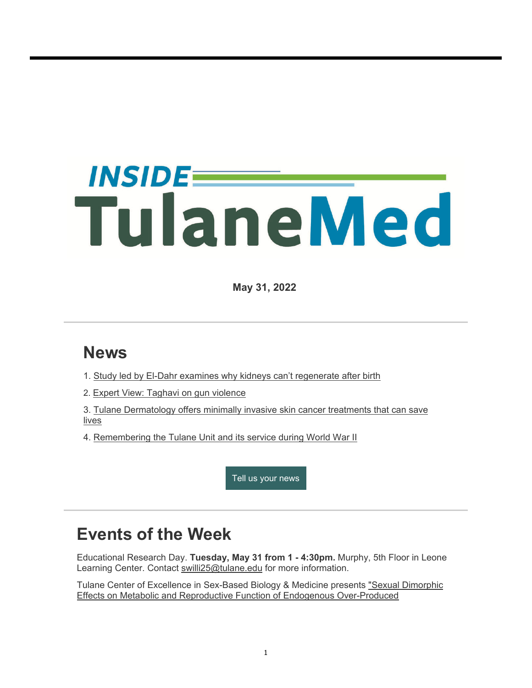# *INSIDEE* TulaneMed

**May 31, 2022**

## **News**

- 1. Study led by El-Dahr examines why kidneys can't regenerate after birth
- 2. Expert View: Taghavi on gun violence
- 3. Tulane Dermatology offers minimally invasive skin cancer treatments that can save lives
- 4. Remembering the Tulane Unit and its service during World War II

Tell us your news

### **Events of the Week**

Educational Research Day. **Tuesday, May 31 from 1 - 4:30pm.** Murphy, 5th Floor in Leone Learning Center. Contact swilli25@tulane.edu for more information.

Tulane Center of Excellence in Sex-Based Biology & Medicine presents "Sexual Dimorphic Effects on Metabolic and Reproductive Function of Endogenous Over-Produced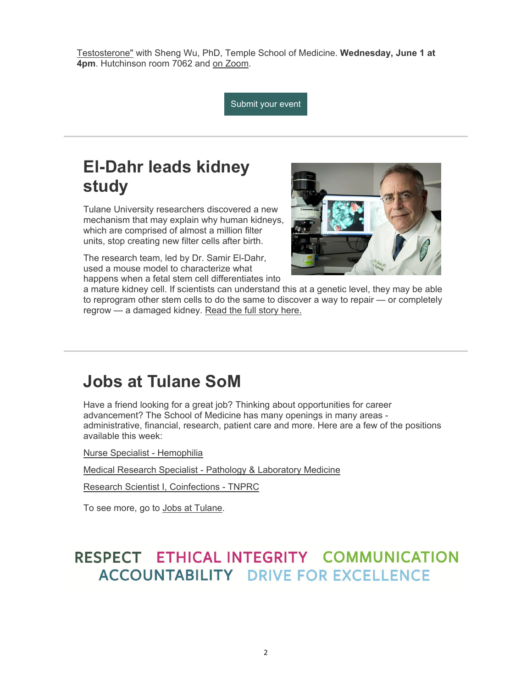Testosterone" with Sheng Wu, PhD, Temple School of Medicine. **Wednesday, June 1 at 4pm**. Hutchinson room 7062 and on Zoom.

Submit your event

## **El-Dahr leads kidney study**

Tulane University researchers discovered a new mechanism that may explain why human kidneys, which are comprised of almost a million filter units, stop creating new filter cells after birth.

The research team, led by Dr. Samir El-Dahr, used a mouse model to characterize what happens when a fetal stem cell differentiates into



a mature kidney cell. If scientists can understand this at a genetic level, they may be able to reprogram other stem cells to do the same to discover a way to repair — or completely regrow - a damaged kidney. Read the full story here.

#### **Jobs at Tulane SoM**

Have a friend looking for a great job? Thinking about opportunities for career advancement? The School of Medicine has many openings in many areas administrative, financial, research, patient care and more. Here are a few of the positions available this week:

Nurse Specialist - Hemophilia

Medical Research Specialist - Pathology & Laboratory Medicine

Research Scientist I, Coinfections - TNPRC

To see more, go to Jobs at Tulane.

#### RESPECT ETHICAL INTEGRITY COMMUNICATION **ACCOUNTABILITY DRIVE FOR EXCELLENCE**